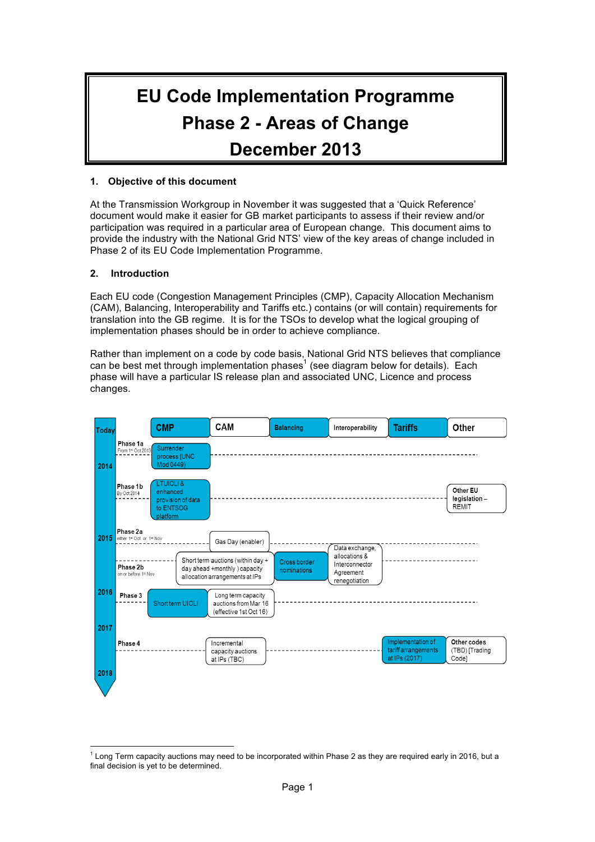# **EU Code Implementation Programme Phase 2 - Areas of Change December 2013**

### **1. Objective of this document**

At the Transmission Workgroup in November it was suggested that a 'Quick Reference' document would make it easier for GB market participants to assess if their review and/or participation was required in a particular area of European change. This document aims to provide the industry with the National Grid NTS' view of the key areas of change included in Phase 2 of its EU Code Implementation Programme.

### **2. Introduction**

Each EU code (Congestion Management Principles (CMP), Capacity Allocation Mechanism (CAM), Balancing, Interoperability and Tariffs etc.) contains (or will contain) requirements for translation into the GB regime. It is for the TSOs to develop what the logical grouping of implementation phases should be in order to achieve compliance.

Rather than implement on a code by code basis, National Grid NTS believes that compliance can be best met through implementation phases<sup>1</sup> (see diagram below for details). Each phase will have a particular IS release plan and associated UNC, Licence and process changes.



 $\frac{1}{1}$  $1$  Long Term capacity auctions may need to be incorporated within Phase 2 as they are required early in 2016, but a final decision is yet to be determined.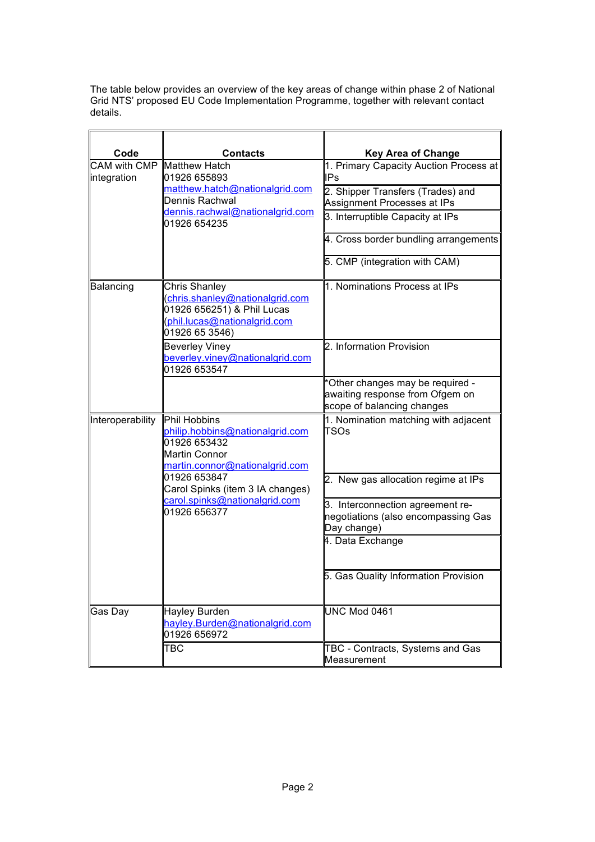The table below provides an overview of the key areas of change within phase 2 of National Grid NTS' proposed EU Code Implementation Programme, together with relevant contact details.  $\overline{\phantom{a}}$ 

| Code                               | <b>Contacts</b>                                                                                                                         | <b>Key Area of Change</b>                                                                         |
|------------------------------------|-----------------------------------------------------------------------------------------------------------------------------------------|---------------------------------------------------------------------------------------------------|
| <b>CAM with CMP</b><br>integration | <b>Matthew Hatch</b><br>01926 655893                                                                                                    | 1. Primary Capacity Auction Process at<br><b>IPs</b>                                              |
|                                    | matthew.hatch@nationalgrid.com<br>Dennis Rachwal                                                                                        | 2. Shipper Transfers (Trades) and<br>Assignment Processes at IPs                                  |
|                                    | dennis.rachwal@nationalgrid.com<br>01926 654235                                                                                         | 3. Interruptible Capacity at IPs                                                                  |
|                                    |                                                                                                                                         | 4. Cross border bundling arrangements                                                             |
|                                    |                                                                                                                                         | 5. CMP (integration with CAM)                                                                     |
| Balancing                          | <b>Chris Shanley</b><br>(chris.shanley@nationalgrid.com<br>01926 656251) & Phil Lucas<br>(phil.lucas@nationalgrid.com<br>01926 65 3546) | 1. Nominations Process at IPs                                                                     |
|                                    | <b>Beverley Viney</b><br>beverley.viney@nationalgrid.com<br>01926 653547                                                                | 2. Information Provision                                                                          |
|                                    |                                                                                                                                         | *Other changes may be required -<br>awaiting response from Ofgem on<br>scope of balancing changes |
| Interoperability                   | Phil Hobbins<br>philip.hobbins@nationalgrid.com<br>01926 653432<br><b>Martin Connor</b><br>martin.connor@nationalgrid.com               | 1. Nomination matching with adjacent<br>TSOs                                                      |
|                                    | 01926 653847<br>Carol Spinks (item 3 IA changes)                                                                                        | 2. New gas allocation regime at IPs                                                               |
|                                    | carol.spinks@nationalgrid.com<br>01926 656377                                                                                           | 3. Interconnection agreement re-<br>negotiations (also encompassing Gas<br>Day change)            |
|                                    |                                                                                                                                         | 4. Data Exchange                                                                                  |
|                                    |                                                                                                                                         | 5. Gas Quality Information Provision                                                              |
| Gas Day                            | Hayley Burden<br>hayley.Burden@nationalgrid.com<br>01926 656972                                                                         | <b>UNC Mod 0461</b>                                                                               |
|                                    | TBC                                                                                                                                     | TBC - Contracts, Systems and Gas<br>Measurement                                                   |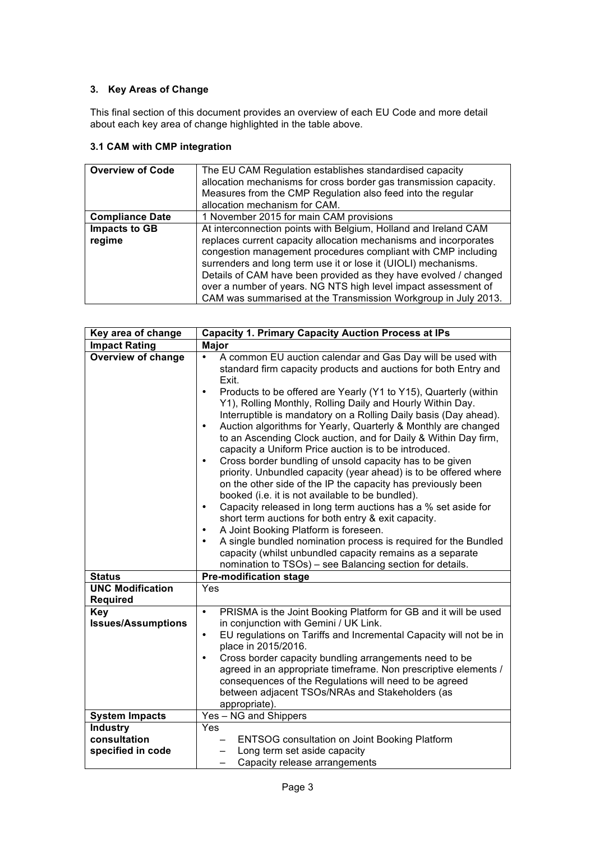## **3. Key Areas of Change**

This final section of this document provides an overview of each EU Code and more detail about each key area of change highlighted in the table above.

## **3.1 CAM with CMP integration**

| <b>Overview of Code</b>        | The EU CAM Regulation establishes standardised capacity<br>allocation mechanisms for cross border gas transmission capacity.<br>Measures from the CMP Regulation also feed into the regular<br>allocation mechanism for CAM.                                                                                                                                                                                                                                                   |
|--------------------------------|--------------------------------------------------------------------------------------------------------------------------------------------------------------------------------------------------------------------------------------------------------------------------------------------------------------------------------------------------------------------------------------------------------------------------------------------------------------------------------|
| <b>Compliance Date</b>         | 1 November 2015 for main CAM provisions                                                                                                                                                                                                                                                                                                                                                                                                                                        |
| <b>Impacts to GB</b><br>regime | At interconnection points with Belgium, Holland and Ireland CAM<br>replaces current capacity allocation mechanisms and incorporates<br>congestion management procedures compliant with CMP including<br>surrenders and long term use it or lose it (UIOLI) mechanisms.<br>Details of CAM have been provided as they have evolved / changed<br>over a number of years. NG NTS high level impact assessment of<br>CAM was summarised at the Transmission Workgroup in July 2013. |

| Key area of change                                   | <b>Capacity 1. Primary Capacity Auction Process at IPs</b>                                                                                                                                                                                                                                                                                                                                                                                                                                                                                                                                                                                                                                                                                                                                                                                                                                                                                                                                                                                                                                                                                                                                                                             |
|------------------------------------------------------|----------------------------------------------------------------------------------------------------------------------------------------------------------------------------------------------------------------------------------------------------------------------------------------------------------------------------------------------------------------------------------------------------------------------------------------------------------------------------------------------------------------------------------------------------------------------------------------------------------------------------------------------------------------------------------------------------------------------------------------------------------------------------------------------------------------------------------------------------------------------------------------------------------------------------------------------------------------------------------------------------------------------------------------------------------------------------------------------------------------------------------------------------------------------------------------------------------------------------------------|
| <b>Impact Rating</b>                                 | <b>Major</b>                                                                                                                                                                                                                                                                                                                                                                                                                                                                                                                                                                                                                                                                                                                                                                                                                                                                                                                                                                                                                                                                                                                                                                                                                           |
| <b>Overview of change</b>                            | A common EU auction calendar and Gas Day will be used with<br>٠<br>standard firm capacity products and auctions for both Entry and<br>Exit.<br>Products to be offered are Yearly (Y1 to Y15), Quarterly (within<br>$\bullet$<br>Y1), Rolling Monthly, Rolling Daily and Hourly Within Day.<br>Interruptible is mandatory on a Rolling Daily basis (Day ahead).<br>Auction algorithms for Yearly, Quarterly & Monthly are changed<br>$\bullet$<br>to an Ascending Clock auction, and for Daily & Within Day firm,<br>capacity a Uniform Price auction is to be introduced.<br>Cross border bundling of unsold capacity has to be given<br>$\bullet$<br>priority. Unbundled capacity (year ahead) is to be offered where<br>on the other side of the IP the capacity has previously been<br>booked (i.e. it is not available to be bundled).<br>Capacity released in long term auctions has a % set aside for<br>$\bullet$<br>short term auctions for both entry & exit capacity.<br>A Joint Booking Platform is foreseen.<br>٠<br>A single bundled nomination process is required for the Bundled<br>$\bullet$<br>capacity (whilst unbundled capacity remains as a separate<br>nomination to TSOs) - see Balancing section for details. |
| <b>Status</b>                                        | <b>Pre-modification stage</b>                                                                                                                                                                                                                                                                                                                                                                                                                                                                                                                                                                                                                                                                                                                                                                                                                                                                                                                                                                                                                                                                                                                                                                                                          |
| <b>UNC Modification</b><br><b>Required</b>           | Yes                                                                                                                                                                                                                                                                                                                                                                                                                                                                                                                                                                                                                                                                                                                                                                                                                                                                                                                                                                                                                                                                                                                                                                                                                                    |
| Key<br><b>Issues/Assumptions</b>                     | PRISMA is the Joint Booking Platform for GB and it will be used<br>$\bullet$<br>in conjunction with Gemini / UK Link.<br>EU regulations on Tariffs and Incremental Capacity will not be in<br>$\bullet$<br>place in 2015/2016.<br>Cross border capacity bundling arrangements need to be<br>$\bullet$<br>agreed in an appropriate timeframe. Non prescriptive elements /<br>consequences of the Regulations will need to be agreed<br>between adjacent TSOs/NRAs and Stakeholders (as<br>appropriate).                                                                                                                                                                                                                                                                                                                                                                                                                                                                                                                                                                                                                                                                                                                                 |
| <b>System Impacts</b>                                | Yes - NG and Shippers                                                                                                                                                                                                                                                                                                                                                                                                                                                                                                                                                                                                                                                                                                                                                                                                                                                                                                                                                                                                                                                                                                                                                                                                                  |
| <b>Industry</b><br>consultation<br>specified in code | Yes<br><b>ENTSOG consultation on Joint Booking Platform</b><br>Long term set aside capacity<br>Capacity release arrangements                                                                                                                                                                                                                                                                                                                                                                                                                                                                                                                                                                                                                                                                                                                                                                                                                                                                                                                                                                                                                                                                                                           |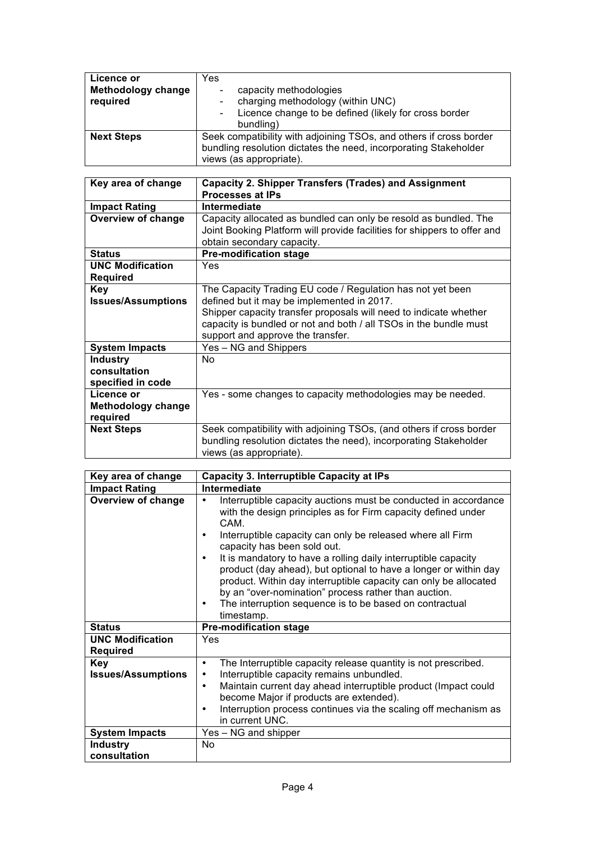| Licence or<br><b>Methodology change</b><br>required | Yes<br>capacity methodologies<br>charging methodology (within UNC)<br>Licence change to be defined (likely for cross border<br>bundling)                          |
|-----------------------------------------------------|-------------------------------------------------------------------------------------------------------------------------------------------------------------------|
| <b>Next Steps</b>                                   | Seek compatibility with adjoining TSOs, and others if cross border<br>bundling resolution dictates the need, incorporating Stakeholder<br>views (as appropriate). |

| Key area of change        | <b>Capacity 2. Shipper Transfers (Trades) and Assignment</b>             |
|---------------------------|--------------------------------------------------------------------------|
|                           | <b>Processes at IPs</b>                                                  |
| <b>Impact Rating</b>      | Intermediate                                                             |
| <b>Overview of change</b> | Capacity allocated as bundled can only be resold as bundled. The         |
|                           | Joint Booking Platform will provide facilities for shippers to offer and |
|                           | obtain secondary capacity.                                               |
| <b>Status</b>             | <b>Pre-modification stage</b>                                            |
| <b>UNC Modification</b>   | <b>Yes</b>                                                               |
| <b>Required</b>           |                                                                          |
| <b>Key</b>                | The Capacity Trading EU code / Regulation has not yet been               |
| <b>Issues/Assumptions</b> | defined but it may be implemented in 2017.                               |
|                           | Shipper capacity transfer proposals will need to indicate whether        |
|                           | capacity is bundled or not and both / all TSOs in the bundle must        |
|                           | support and approve the transfer.                                        |
| <b>System Impacts</b>     | Yes – NG and Shippers                                                    |
| <b>Industry</b>           | No                                                                       |
| consultation              |                                                                          |
| specified in code         |                                                                          |
| Licence or                | Yes - some changes to capacity methodologies may be needed.              |
| <b>Methodology change</b> |                                                                          |
| required                  |                                                                          |
| <b>Next Steps</b>         | Seek compatibility with adjoining TSOs, (and others if cross border      |
|                           | bundling resolution dictates the need), incorporating Stakeholder        |
|                           | views (as appropriate).                                                  |

| Key area of change                         | <b>Capacity 3. Interruptible Capacity at IPs</b>                                                                                                                                                                                                                                                                                                                                                                                                                                                                                                                                      |
|--------------------------------------------|---------------------------------------------------------------------------------------------------------------------------------------------------------------------------------------------------------------------------------------------------------------------------------------------------------------------------------------------------------------------------------------------------------------------------------------------------------------------------------------------------------------------------------------------------------------------------------------|
| <b>Impact Rating</b>                       | Intermediate                                                                                                                                                                                                                                                                                                                                                                                                                                                                                                                                                                          |
| <b>Overview of change</b>                  | Interruptible capacity auctions must be conducted in accordance<br>with the design principles as for Firm capacity defined under<br>CAM.<br>Interruptible capacity can only be released where all Firm<br>capacity has been sold out.<br>It is mandatory to have a rolling daily interruptible capacity<br>product (day ahead), but optional to have a longer or within day<br>product. Within day interruptible capacity can only be allocated<br>by an "over-nomination" process rather than auction.<br>The interruption sequence is to be based on contractual<br>٠<br>timestamp. |
| <b>Status</b>                              | <b>Pre-modification stage</b>                                                                                                                                                                                                                                                                                                                                                                                                                                                                                                                                                         |
| <b>UNC Modification</b><br><b>Required</b> | Yes                                                                                                                                                                                                                                                                                                                                                                                                                                                                                                                                                                                   |
| <b>Key</b><br><b>Issues/Assumptions</b>    | The Interruptible capacity release quantity is not prescribed.<br>$\bullet$<br>Interruptible capacity remains unbundled.<br>٠<br>Maintain current day ahead interruptible product (Impact could<br>٠<br>become Major if products are extended).<br>Interruption process continues via the scaling off mechanism as<br>in current UNC.                                                                                                                                                                                                                                                 |
| <b>System Impacts</b>                      | Yes - NG and shipper                                                                                                                                                                                                                                                                                                                                                                                                                                                                                                                                                                  |
| <b>Industry</b><br>consultation            | No                                                                                                                                                                                                                                                                                                                                                                                                                                                                                                                                                                                    |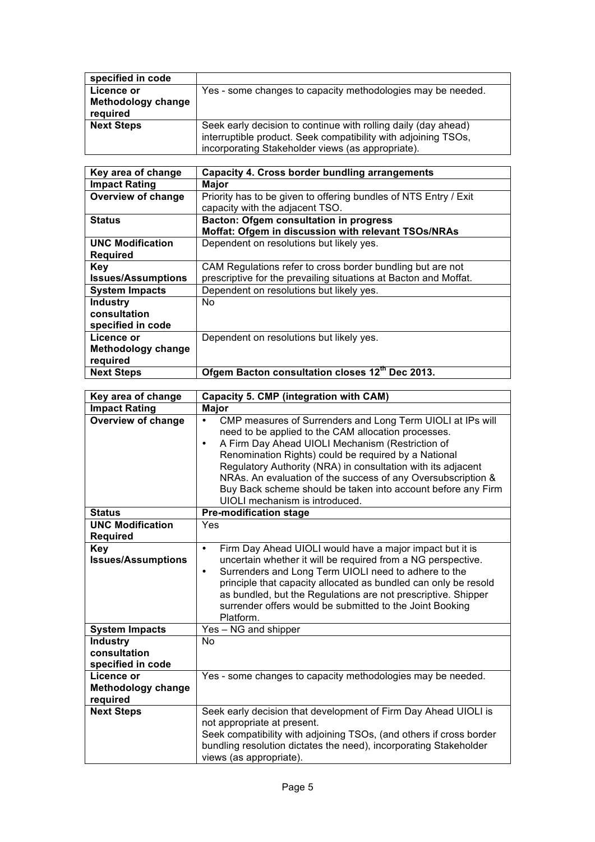| specified in code         |                                                                |
|---------------------------|----------------------------------------------------------------|
| Licence or                | Yes - some changes to capacity methodologies may be needed.    |
| <b>Methodology change</b> |                                                                |
| required                  |                                                                |
| <b>Next Steps</b>         | Seek early decision to continue with rolling daily (day ahead) |
|                           | interruptible product. Seek compatibility with adjoining TSOs, |
|                           | incorporating Stakeholder views (as appropriate).              |

| Key area of change        | Capacity 4. Cross border bundling arrangements                   |
|---------------------------|------------------------------------------------------------------|
| <b>Impact Rating</b>      | Major                                                            |
| <b>Overview of change</b> | Priority has to be given to offering bundles of NTS Entry / Exit |
|                           | capacity with the adjacent TSO.                                  |
| <b>Status</b>             | <b>Bacton: Ofgem consultation in progress</b>                    |
|                           | Moffat: Ofgem in discussion with relevant TSOs/NRAs              |
| <b>UNC Modification</b>   | Dependent on resolutions but likely yes.                         |
| <b>Required</b>           |                                                                  |
| <b>Key</b>                | CAM Regulations refer to cross border bundling but are not       |
| <b>Issues/Assumptions</b> | prescriptive for the prevailing situations at Bacton and Moffat. |
| <b>System Impacts</b>     | Dependent on resolutions but likely yes.                         |
| <b>Industry</b>           | No.                                                              |
| consultation              |                                                                  |
| specified in code         |                                                                  |
| Licence or                | Dependent on resolutions but likely yes.                         |
| Methodology change        |                                                                  |
| required                  |                                                                  |
| <b>Next Steps</b>         | Ofgem Bacton consultation closes 12th Dec 2013.                  |

| Key area of change                                         | Capacity 5. CMP (integration with CAM)                                                                                                                                                                                                                                                                                                                                                                                                                                            |
|------------------------------------------------------------|-----------------------------------------------------------------------------------------------------------------------------------------------------------------------------------------------------------------------------------------------------------------------------------------------------------------------------------------------------------------------------------------------------------------------------------------------------------------------------------|
| <b>Impact Rating</b>                                       | <b>Major</b>                                                                                                                                                                                                                                                                                                                                                                                                                                                                      |
| <b>Overview of change</b>                                  | CMP measures of Surrenders and Long Term UIOLI at IPs will<br>$\bullet$<br>need to be applied to the CAM allocation processes.<br>A Firm Day Ahead UIOLI Mechanism (Restriction of<br>٠<br>Renomination Rights) could be required by a National<br>Regulatory Authority (NRA) in consultation with its adjacent<br>NRAs. An evaluation of the success of any Oversubscription &<br>Buy Back scheme should be taken into account before any Firm<br>UIOLI mechanism is introduced. |
| <b>Status</b>                                              | <b>Pre-modification stage</b>                                                                                                                                                                                                                                                                                                                                                                                                                                                     |
| <b>UNC Modification</b><br><b>Required</b>                 | Yes                                                                                                                                                                                                                                                                                                                                                                                                                                                                               |
| <b>Key</b><br><b>Issues/Assumptions</b>                    | Firm Day Ahead UIOLI would have a major impact but it is<br>$\bullet$<br>uncertain whether it will be required from a NG perspective.<br>Surrenders and Long Term UIOLI need to adhere to the<br>٠<br>principle that capacity allocated as bundled can only be resold<br>as bundled, but the Regulations are not prescriptive. Shipper<br>surrender offers would be submitted to the Joint Booking<br>Platform.                                                                   |
| <b>System Impacts</b>                                      | Yes - NG and shipper                                                                                                                                                                                                                                                                                                                                                                                                                                                              |
| <b>Industry</b><br>consultation<br>specified in code       | N <sub>o</sub>                                                                                                                                                                                                                                                                                                                                                                                                                                                                    |
| <b>Licence or</b><br><b>Methodology change</b><br>required | Yes - some changes to capacity methodologies may be needed.                                                                                                                                                                                                                                                                                                                                                                                                                       |
| <b>Next Steps</b>                                          | Seek early decision that development of Firm Day Ahead UIOLI is<br>not appropriate at present.<br>Seek compatibility with adjoining TSOs, (and others if cross border<br>bundling resolution dictates the need), incorporating Stakeholder<br>views (as appropriate).                                                                                                                                                                                                             |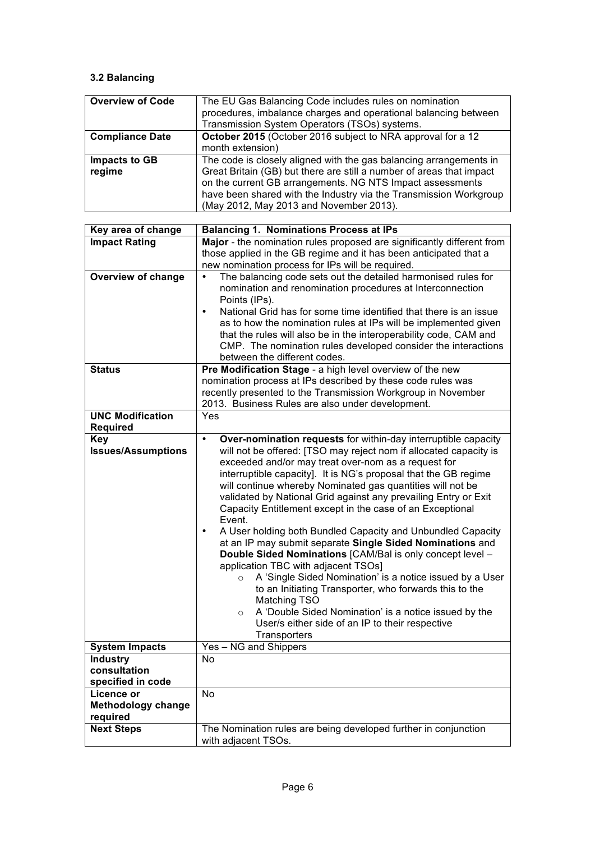## **3.2 Balancing**

| <b>Overview of Code</b> | The EU Gas Balancing Code includes rules on nomination               |
|-------------------------|----------------------------------------------------------------------|
|                         | procedures, imbalance charges and operational balancing between      |
|                         | Transmission System Operators (TSOs) systems.                        |
| <b>Compliance Date</b>  | October 2015 (October 2016 subject to NRA approval for a 12          |
|                         | month extension)                                                     |
| <b>Impacts to GB</b>    | The code is closely aligned with the gas balancing arrangements in   |
| regime                  | Great Britain (GB) but there are still a number of areas that impact |
|                         | on the current GB arrangements. NG NTS Impact assessments            |
|                         | have been shared with the Industry via the Transmission Workgroup    |
|                         | (May 2012, May 2013 and November 2013).                              |

| Key area of change                         | <b>Balancing 1. Nominations Process at IPs</b>                                 |
|--------------------------------------------|--------------------------------------------------------------------------------|
| <b>Impact Rating</b>                       | Major - the nomination rules proposed are significantly different from         |
|                                            | those applied in the GB regime and it has been anticipated that a              |
|                                            | new nomination process for IPs will be required.                               |
| <b>Overview of change</b>                  | The balancing code sets out the detailed harmonised rules for                  |
|                                            | nomination and renomination procedures at Interconnection                      |
|                                            | Points (IPs).                                                                  |
|                                            | National Grid has for some time identified that there is an issue<br>$\bullet$ |
|                                            | as to how the nomination rules at IPs will be implemented given                |
|                                            | that the rules will also be in the interoperability code, CAM and              |
|                                            | CMP. The nomination rules developed consider the interactions                  |
|                                            | between the different codes.                                                   |
| <b>Status</b>                              | Pre Modification Stage - a high level overview of the new                      |
|                                            | nomination process at IPs described by these code rules was                    |
|                                            | recently presented to the Transmission Workgroup in November                   |
|                                            | 2013. Business Rules are also under development.                               |
| <b>UNC Modification</b><br><b>Required</b> | Yes                                                                            |
| <b>Key</b>                                 | Over-nomination requests for within-day interruptible capacity<br>٠            |
| <b>Issues/Assumptions</b>                  | will not be offered: [TSO may reject nom if allocated capacity is              |
|                                            | exceeded and/or may treat over-nom as a request for                            |
|                                            | interruptible capacity]. It is NG's proposal that the GB regime                |
|                                            | will continue whereby Nominated gas quantities will not be                     |
|                                            | validated by National Grid against any prevailing Entry or Exit                |
|                                            | Capacity Entitlement except in the case of an Exceptional                      |
|                                            | Event.                                                                         |
|                                            | A User holding both Bundled Capacity and Unbundled Capacity<br>$\bullet$       |
|                                            | at an IP may submit separate Single Sided Nominations and                      |
|                                            | Double Sided Nominations [CAM/Bal is only concept level -                      |
|                                            | application TBC with adjacent TSOs]                                            |
|                                            | A 'Single Sided Nomination' is a notice issued by a User<br>$\circ$            |
|                                            | to an Initiating Transporter, who forwards this to the                         |
|                                            | Matching TSO                                                                   |
|                                            | A 'Double Sided Nomination' is a notice issued by the<br>$\circ$               |
|                                            | User/s either side of an IP to their respective                                |
|                                            | Transporters                                                                   |
| <b>System Impacts</b>                      | Yes - NG and Shippers                                                          |
| <b>Industry</b>                            | No                                                                             |
| consultation                               |                                                                                |
| specified in code                          |                                                                                |
| Licence or                                 | No                                                                             |
| <b>Methodology change</b>                  |                                                                                |
| required                                   |                                                                                |
| <b>Next Steps</b>                          | The Nomination rules are being developed further in conjunction                |
|                                            | with adjacent TSOs.                                                            |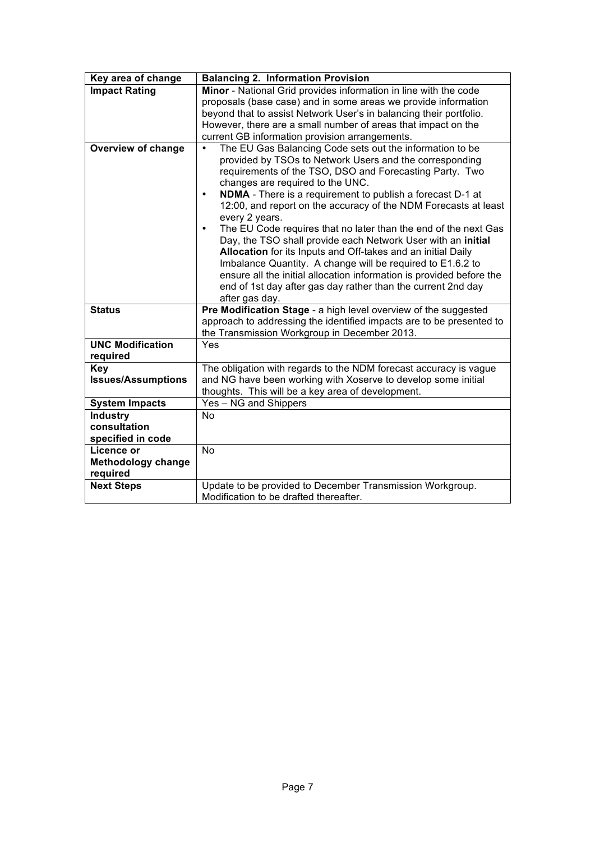| Key area of change                             | <b>Balancing 2. Information Provision</b>                                                                                                                                                                                                                                                                                                                                                                                                                                                                                                                                                                                                                                                                                                                                                                                  |
|------------------------------------------------|----------------------------------------------------------------------------------------------------------------------------------------------------------------------------------------------------------------------------------------------------------------------------------------------------------------------------------------------------------------------------------------------------------------------------------------------------------------------------------------------------------------------------------------------------------------------------------------------------------------------------------------------------------------------------------------------------------------------------------------------------------------------------------------------------------------------------|
| <b>Impact Rating</b>                           | Minor - National Grid provides information in line with the code                                                                                                                                                                                                                                                                                                                                                                                                                                                                                                                                                                                                                                                                                                                                                           |
|                                                | proposals (base case) and in some areas we provide information                                                                                                                                                                                                                                                                                                                                                                                                                                                                                                                                                                                                                                                                                                                                                             |
|                                                | beyond that to assist Network User's in balancing their portfolio.                                                                                                                                                                                                                                                                                                                                                                                                                                                                                                                                                                                                                                                                                                                                                         |
|                                                | However, there are a small number of areas that impact on the                                                                                                                                                                                                                                                                                                                                                                                                                                                                                                                                                                                                                                                                                                                                                              |
|                                                | current GB information provision arrangements.                                                                                                                                                                                                                                                                                                                                                                                                                                                                                                                                                                                                                                                                                                                                                                             |
| <b>Overview of change</b>                      | The EU Gas Balancing Code sets out the information to be<br>provided by TSOs to Network Users and the corresponding<br>requirements of the TSO, DSO and Forecasting Party. Two<br>changes are required to the UNC.<br>NDMA - There is a requirement to publish a forecast D-1 at<br>$\bullet$<br>12:00, and report on the accuracy of the NDM Forecasts at least<br>every 2 years.<br>The EU Code requires that no later than the end of the next Gas<br>$\bullet$<br>Day, the TSO shall provide each Network User with an initial<br>Allocation for its Inputs and Off-takes and an initial Daily<br>Imbalance Quantity. A change will be required to E1.6.2 to<br>ensure all the initial allocation information is provided before the<br>end of 1st day after gas day rather than the current 2nd day<br>after gas day. |
| <b>Status</b>                                  | Pre Modification Stage - a high level overview of the suggested                                                                                                                                                                                                                                                                                                                                                                                                                                                                                                                                                                                                                                                                                                                                                            |
|                                                | approach to addressing the identified impacts are to be presented to                                                                                                                                                                                                                                                                                                                                                                                                                                                                                                                                                                                                                                                                                                                                                       |
|                                                | the Transmission Workgroup in December 2013.                                                                                                                                                                                                                                                                                                                                                                                                                                                                                                                                                                                                                                                                                                                                                                               |
| <b>UNC Modification</b>                        | Yes                                                                                                                                                                                                                                                                                                                                                                                                                                                                                                                                                                                                                                                                                                                                                                                                                        |
| required                                       |                                                                                                                                                                                                                                                                                                                                                                                                                                                                                                                                                                                                                                                                                                                                                                                                                            |
| <b>Key</b>                                     | The obligation with regards to the NDM forecast accuracy is vague                                                                                                                                                                                                                                                                                                                                                                                                                                                                                                                                                                                                                                                                                                                                                          |
| <b>Issues/Assumptions</b>                      | and NG have been working with Xoserve to develop some initial                                                                                                                                                                                                                                                                                                                                                                                                                                                                                                                                                                                                                                                                                                                                                              |
|                                                | thoughts. This will be a key area of development.                                                                                                                                                                                                                                                                                                                                                                                                                                                                                                                                                                                                                                                                                                                                                                          |
| <b>System Impacts</b>                          | Yes - NG and Shippers                                                                                                                                                                                                                                                                                                                                                                                                                                                                                                                                                                                                                                                                                                                                                                                                      |
| <b>Industry</b>                                | No                                                                                                                                                                                                                                                                                                                                                                                                                                                                                                                                                                                                                                                                                                                                                                                                                         |
| consultation                                   |                                                                                                                                                                                                                                                                                                                                                                                                                                                                                                                                                                                                                                                                                                                                                                                                                            |
| specified in code                              | <b>No</b>                                                                                                                                                                                                                                                                                                                                                                                                                                                                                                                                                                                                                                                                                                                                                                                                                  |
| <b>Licence or</b><br><b>Methodology change</b> |                                                                                                                                                                                                                                                                                                                                                                                                                                                                                                                                                                                                                                                                                                                                                                                                                            |
| required                                       |                                                                                                                                                                                                                                                                                                                                                                                                                                                                                                                                                                                                                                                                                                                                                                                                                            |
| <b>Next Steps</b>                              | Update to be provided to December Transmission Workgroup.                                                                                                                                                                                                                                                                                                                                                                                                                                                                                                                                                                                                                                                                                                                                                                  |
|                                                | Modification to be drafted thereafter.                                                                                                                                                                                                                                                                                                                                                                                                                                                                                                                                                                                                                                                                                                                                                                                     |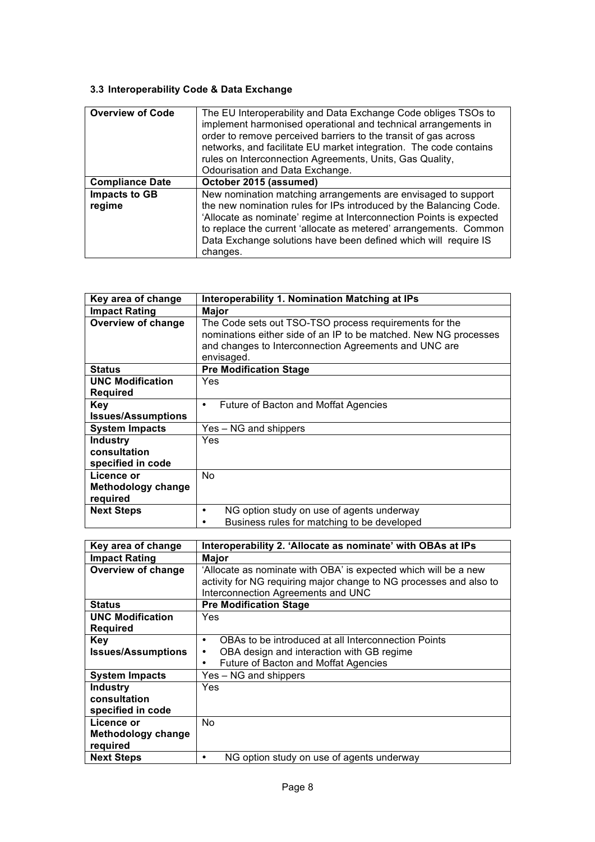# **3.3 Interoperability Code & Data Exchange**

| <b>Overview of Code</b>        | The EU Interoperability and Data Exchange Code obliges TSOs to<br>implement harmonised operational and technical arrangements in<br>order to remove perceived barriers to the transit of gas across<br>networks, and facilitate EU market integration. The code contains<br>rules on Interconnection Agreements, Units, Gas Quality,<br>Odourisation and Data Exchange. |
|--------------------------------|-------------------------------------------------------------------------------------------------------------------------------------------------------------------------------------------------------------------------------------------------------------------------------------------------------------------------------------------------------------------------|
| <b>Compliance Date</b>         | October 2015 (assumed)                                                                                                                                                                                                                                                                                                                                                  |
| <b>Impacts to GB</b><br>regime | New nomination matching arrangements are envisaged to support<br>the new nomination rules for IPs introduced by the Balancing Code.<br>'Allocate as nominate' regime at Interconnection Points is expected<br>to replace the current 'allocate as metered' arrangements. Common<br>Data Exchange solutions have been defined which will require IS<br>changes.          |

| Key area of change                | Interoperability 1. Nomination Matching at IPs                                                                                                                                                    |
|-----------------------------------|---------------------------------------------------------------------------------------------------------------------------------------------------------------------------------------------------|
| <b>Impact Rating</b>              | Major                                                                                                                                                                                             |
| <b>Overview of change</b>         | The Code sets out TSO-TSO process requirements for the<br>nominations either side of an IP to be matched. New NG processes<br>and changes to Interconnection Agreements and UNC are<br>envisaged. |
| <b>Status</b>                     | <b>Pre Modification Stage</b>                                                                                                                                                                     |
| <b>UNC Modification</b>           | Yes                                                                                                                                                                                               |
| <b>Required</b>                   |                                                                                                                                                                                                   |
| <b>Key</b>                        | Future of Bacton and Moffat Agencies<br>٠                                                                                                                                                         |
| <b>Issues/Assumptions</b>         |                                                                                                                                                                                                   |
| <b>System Impacts</b>             | Yes – NG and shippers                                                                                                                                                                             |
| Industry                          | Yes                                                                                                                                                                                               |
| consultation<br>specified in code |                                                                                                                                                                                                   |
| Licence or                        | No.                                                                                                                                                                                               |
| Methodology change<br>required    |                                                                                                                                                                                                   |
| <b>Next Steps</b>                 | NG option study on use of agents underway                                                                                                                                                         |
|                                   | Business rules for matching to be developed                                                                                                                                                       |

| Key area of change        | Interoperability 2. 'Allocate as nominate' with OBAs at IPs        |
|---------------------------|--------------------------------------------------------------------|
| <b>Impact Rating</b>      | Major                                                              |
| Overview of change        | 'Allocate as nominate with OBA' is expected which will be a new    |
|                           | activity for NG requiring major change to NG processes and also to |
|                           | Interconnection Agreements and UNC                                 |
| <b>Status</b>             | <b>Pre Modification Stage</b>                                      |
| <b>UNC Modification</b>   | Yes                                                                |
| <b>Required</b>           |                                                                    |
| <b>Key</b>                | OBAs to be introduced at all Interconnection Points<br>٠           |
| <b>Issues/Assumptions</b> | OBA design and interaction with GB regime<br>٠                     |
|                           | Future of Bacton and Moffat Agencies                               |
| <b>System Impacts</b>     | Yes - NG and shippers                                              |
| Industry                  | Yes                                                                |
| consultation              |                                                                    |
| specified in code         |                                                                    |
| Licence or                | No.                                                                |
| Methodology change        |                                                                    |
| required                  |                                                                    |
| <b>Next Steps</b>         | NG option study on use of agents underway                          |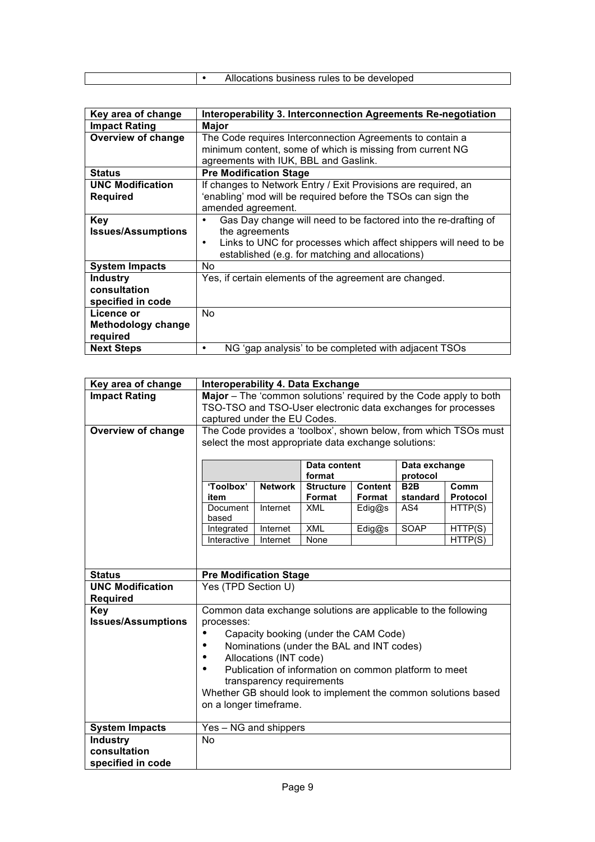|  | Allocations business rules to be developed |
|--|--------------------------------------------|
|  |                                            |

| Key area of change        | Interoperability 3. Interconnection Agreements Re-negotiation    |
|---------------------------|------------------------------------------------------------------|
| <b>Impact Rating</b>      | <b>Major</b>                                                     |
| <b>Overview of change</b> | The Code requires Interconnection Agreements to contain a        |
|                           | minimum content, some of which is missing from current NG        |
|                           | agreements with IUK, BBL and Gaslink.                            |
| <b>Status</b>             | <b>Pre Modification Stage</b>                                    |
| <b>UNC Modification</b>   | If changes to Network Entry / Exit Provisions are required, an   |
| <b>Required</b>           | 'enabling' mod will be required before the TSOs can sign the     |
|                           | amended agreement.                                               |
| <b>Key</b>                | Gas Day change will need to be factored into the re-drafting of  |
| <b>Issues/Assumptions</b> | the agreements                                                   |
|                           | Links to UNC for processes which affect shippers will need to be |
|                           | established (e.g. for matching and allocations)                  |
| <b>System Impacts</b>     | No.                                                              |
| <b>Industry</b>           | Yes, if certain elements of the agreement are changed.           |
| consultation              |                                                                  |
| specified in code         |                                                                  |
| Licence or                | No.                                                              |
| <b>Methodology change</b> |                                                                  |
| required                  |                                                                  |
| <b>Next Steps</b>         | NG 'gap analysis' to be completed with adjacent TSOs             |

| Key area of change        | Interoperability 4. Data Exchange                                 |                                                                  |                                                       |                |                              |          |  |
|---------------------------|-------------------------------------------------------------------|------------------------------------------------------------------|-------------------------------------------------------|----------------|------------------------------|----------|--|
| <b>Impact Rating</b>      | Major - The 'common solutions' required by the Code apply to both |                                                                  |                                                       |                |                              |          |  |
|                           | TSO-TSO and TSO-User electronic data exchanges for processes      |                                                                  |                                                       |                |                              |          |  |
|                           | captured under the EU Codes.                                      |                                                                  |                                                       |                |                              |          |  |
| <b>Overview of change</b> |                                                                   | The Code provides a 'toolbox', shown below, from which TSOs must |                                                       |                |                              |          |  |
|                           |                                                                   | select the most appropriate data exchange solutions:             |                                                       |                |                              |          |  |
|                           |                                                                   |                                                                  |                                                       |                |                              |          |  |
|                           |                                                                   | Data content<br>Data exchange<br>format                          |                                                       |                |                              |          |  |
|                           | 'Toolbox'                                                         | <b>Network</b>                                                   | <b>Structure</b>                                      | <b>Content</b> | protocol<br>B <sub>2</sub> B | Comm     |  |
|                           | item                                                              |                                                                  | Format                                                | Format         | standard                     | Protocol |  |
|                           | Document                                                          | Internet                                                         | <b>XML</b>                                            | Edig@s         | AS4                          | HTTP(S)  |  |
|                           | based                                                             |                                                                  |                                                       |                |                              |          |  |
|                           | Integrated                                                        | Internet                                                         | <b>XML</b>                                            | Edig@s         | SOAP                         | HTTP(S)  |  |
|                           | Interactive                                                       | Internet                                                         | None                                                  |                |                              | HTTP(S)  |  |
|                           |                                                                   |                                                                  |                                                       |                |                              |          |  |
|                           |                                                                   |                                                                  |                                                       |                |                              |          |  |
| <b>Status</b>             | <b>Pre Modification Stage</b>                                     |                                                                  |                                                       |                |                              |          |  |
| <b>UNC Modification</b>   |                                                                   | Yes (TPD Section U)                                              |                                                       |                |                              |          |  |
| <b>Required</b>           |                                                                   |                                                                  |                                                       |                |                              |          |  |
| <b>Key</b>                |                                                                   | Common data exchange solutions are applicable to the following   |                                                       |                |                              |          |  |
| <b>Issues/Assumptions</b> | processes:                                                        |                                                                  |                                                       |                |                              |          |  |
|                           |                                                                   |                                                                  | Capacity booking (under the CAM Code)                 |                |                              |          |  |
|                           |                                                                   |                                                                  | Nominations (under the BAL and INT codes)             |                |                              |          |  |
|                           |                                                                   | Allocations (INT code)                                           |                                                       |                |                              |          |  |
|                           |                                                                   |                                                                  | Publication of information on common platform to meet |                |                              |          |  |
|                           |                                                                   | transparency requirements                                        |                                                       |                |                              |          |  |
|                           | Whether GB should look to implement the common solutions based    |                                                                  |                                                       |                |                              |          |  |
|                           | on a longer timeframe.                                            |                                                                  |                                                       |                |                              |          |  |
| <b>System Impacts</b>     | Yes - NG and shippers                                             |                                                                  |                                                       |                |                              |          |  |
| <b>Industry</b>           | No                                                                |                                                                  |                                                       |                |                              |          |  |
| consultation              |                                                                   |                                                                  |                                                       |                |                              |          |  |
| specified in code         |                                                                   |                                                                  |                                                       |                |                              |          |  |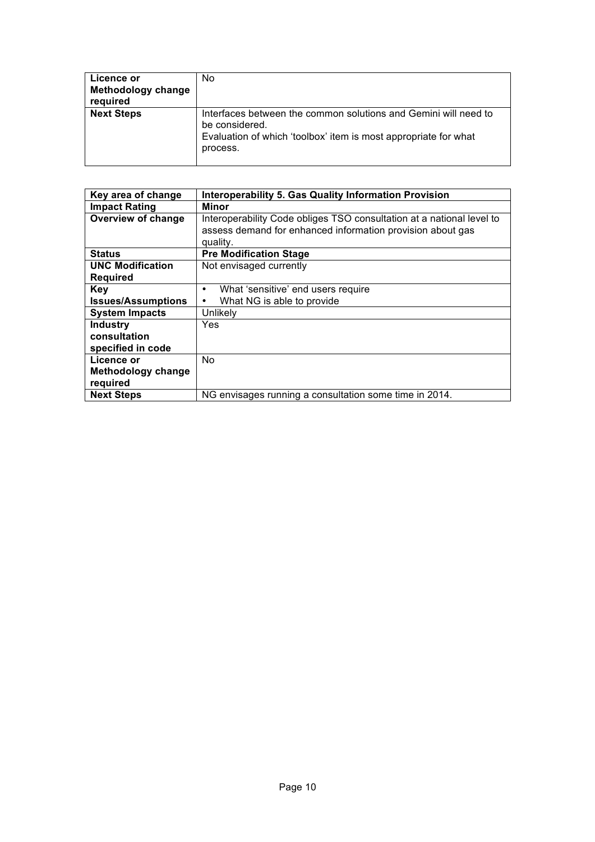| Licence or<br>Methodology change<br>required | No                                                                                                                                                               |
|----------------------------------------------|------------------------------------------------------------------------------------------------------------------------------------------------------------------|
| <b>Next Steps</b>                            | Interfaces between the common solutions and Gemini will need to<br>be considered.<br>Evaluation of which 'toolbox' item is most appropriate for what<br>process. |

| Key area of change        | <b>Interoperability 5. Gas Quality Information Provision</b>          |
|---------------------------|-----------------------------------------------------------------------|
| <b>Impact Rating</b>      | Minor                                                                 |
|                           |                                                                       |
| Overview of change        | Interoperability Code obliges TSO consultation at a national level to |
|                           | assess demand for enhanced information provision about gas            |
|                           |                                                                       |
|                           | quality.                                                              |
| <b>Status</b>             | <b>Pre Modification Stage</b>                                         |
| <b>UNC Modification</b>   | Not envisaged currently                                               |
| <b>Required</b>           |                                                                       |
| <b>Key</b>                | What 'sensitive' end users require<br>٠                               |
| <b>Issues/Assumptions</b> | What NG is able to provide<br>٠                                       |
| <b>System Impacts</b>     | Unlikelv                                                              |
| <b>Industry</b>           | Yes                                                                   |
| consultation              |                                                                       |
| specified in code         |                                                                       |
| Licence or                | No.                                                                   |
| <b>Methodology change</b> |                                                                       |
| required                  |                                                                       |
| <b>Next Steps</b>         | NG envisages running a consultation some time in 2014.                |